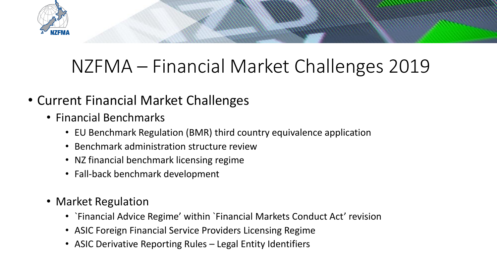

## NZFMA – Financial Market Challenges 2019

- Current Financial Market Challenges
	- Financial Benchmarks
		- EU Benchmark Regulation (BMR) third country equivalence application
		- Benchmark administration structure review
		- NZ financial benchmark licensing regime
		- Fall-back benchmark development
	- Market Regulation
		- `Financial Advice Regime' within `Financial Markets Conduct Act' revision
		- ASIC Foreign Financial Service Providers Licensing Regime
		- ASIC Derivative Reporting Rules Legal Entity Identifiers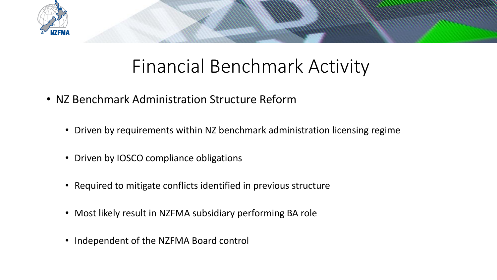

## Financial Benchmark Activity

- NZ Benchmark Administration Structure Reform
	- Driven by requirements within NZ benchmark administration licensing regime
	- Driven by IOSCO compliance obligations
	- Required to mitigate conflicts identified in previous structure
	- Most likely result in NZFMA subsidiary performing BA role
	- Independent of the NZFMA Board control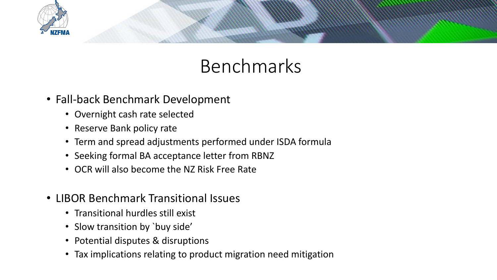

## Benchmarks

- Fall-back Benchmark Development
	- Overnight cash rate selected
	- Reserve Bank policy rate
	- Term and spread adjustments performed under ISDA formula
	- Seeking formal BA acceptance letter from RBNZ
	- OCR will also become the NZ Risk Free Rate
- LIBOR Benchmark Transitional Issues
	- Transitional hurdles still exist
	- Slow transition by `buy side'
	- Potential disputes & disruptions
	- Tax implications relating to product migration need mitigation